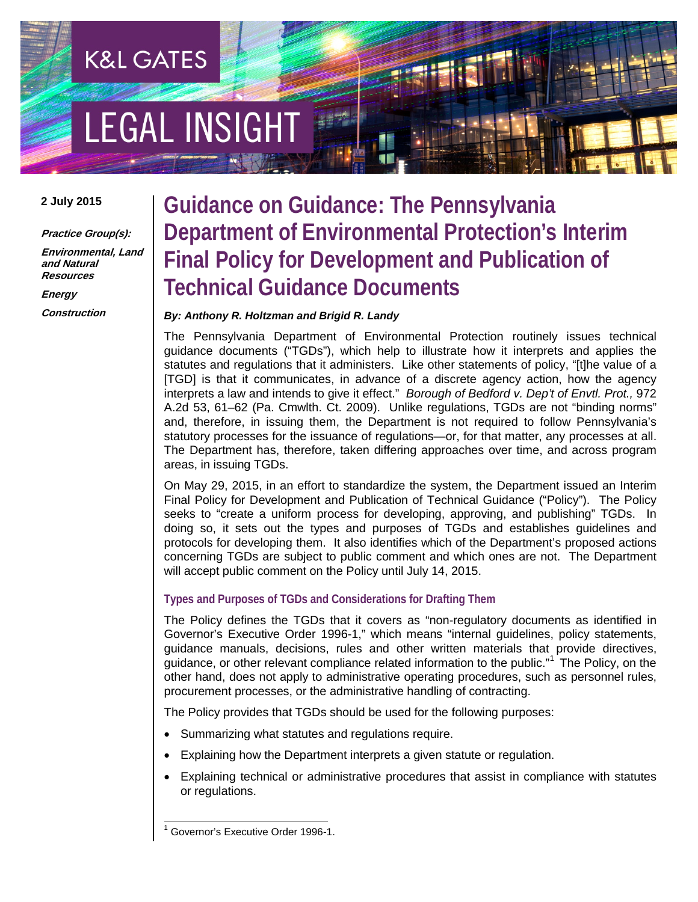# **EGAL INSIGHT**

**K&L GATES** 

#### **2 July 2015**

**Practice Group(s):**

**Environmental, Land and Natural Resources**

**Energy Construction**

### **Guidance on Guidance: The Pennsylvania Department of Environmental Protection's Interim Final Policy for Development and Publication of Technical Guidance Documents**

### *By: Anthony R. Holtzman and Brigid R. Landy*

The Pennsylvania Department of Environmental Protection routinely issues technical guidance documents ("TGDs"), which help to illustrate how it interprets and applies the statutes and regulations that it administers. Like other statements of policy, "[t]he value of a [TGD] is that it communicates, in advance of a discrete agency action, how the agency interprets a law and intends to give it effect." *Borough of Bedford v. Dep't of Envtl. Prot.,* 972 A.2d 53, 61–62 (Pa. Cmwlth. Ct. 2009). Unlike regulations, TGDs are not "binding norms" and, therefore, in issuing them, the Department is not required to follow Pennsylvania's statutory processes for the issuance of regulations—or, for that matter, any processes at all. The Department has, therefore, taken differing approaches over time, and across program areas, in issuing TGDs.

On May 29, 2015, in an effort to standardize the system, the Department issued an Interim Final Policy for Development and Publication of Technical Guidance ("Policy"). The Policy seeks to "create a uniform process for developing, approving, and publishing" TGDs. In doing so, it sets out the types and purposes of TGDs and establishes guidelines and protocols for developing them. It also identifies which of the Department's proposed actions concerning TGDs are subject to public comment and which ones are not. The Department will accept public comment on the Policy until July 14, 2015.

### **Types and Purposes of TGDs and Considerations for Drafting Them**

The Policy defines the TGDs that it covers as "non-regulatory documents as identified in Governor's Executive Order 1996-1," which means "internal guidelines, policy statements, guidance manuals, decisions, rules and other written materials that provide directives, guidance, or other relevant compliance related information to the public."<sup>[1](#page-0-0)</sup> The Policy, on the other hand, does not apply to administrative operating procedures, such as personnel rules, procurement processes, or the administrative handling of contracting.

The Policy provides that TGDs should be used for the following purposes:

- Summarizing what statutes and regulations require.
- Explaining how the Department interprets a given statute or regulation.
- Explaining technical or administrative procedures that assist in compliance with statutes or regulations.

<span id="page-0-0"></span> <sup>1</sup> Governor's Executive Order 1996-1.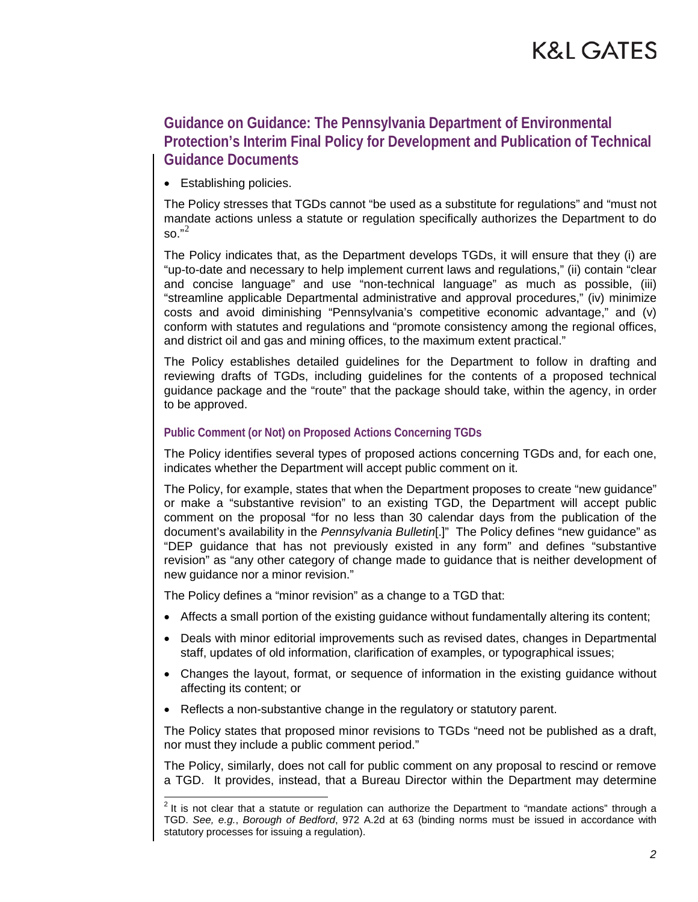### K&L GATES

### **Guidance on Guidance: The Pennsylvania Department of Environmental Protection's Interim Final Policy for Development and Publication of Technical Guidance Documents**

• Establishing policies.

The Policy stresses that TGDs cannot "be used as a substitute for regulations" and "must not mandate actions unless a statute or regulation specifically authorizes the Department to do  $\text{so.}^{n^2}$  $\text{so.}^{n^2}$  $\text{so.}^{n^2}$ 

The Policy indicates that, as the Department develops TGDs, it will ensure that they (i) are "up-to-date and necessary to help implement current laws and regulations," (ii) contain "clear and concise language" and use "non-technical language" as much as possible, (iii) "streamline applicable Departmental administrative and approval procedures," (iv) minimize costs and avoid diminishing "Pennsylvania's competitive economic advantage," and (v) conform with statutes and regulations and "promote consistency among the regional offices, and district oil and gas and mining offices, to the maximum extent practical."

The Policy establishes detailed guidelines for the Department to follow in drafting and reviewing drafts of TGDs, including guidelines for the contents of a proposed technical guidance package and the "route" that the package should take, within the agency, in order to be approved.

#### **Public Comment (or Not) on Proposed Actions Concerning TGDs**

The Policy identifies several types of proposed actions concerning TGDs and, for each one, indicates whether the Department will accept public comment on it.

The Policy, for example, states that when the Department proposes to create "new guidance" or make a "substantive revision" to an existing TGD, the Department will accept public comment on the proposal "for no less than 30 calendar days from the publication of the document's availability in the *Pennsylvania Bulletin*[.]" The Policy defines "new guidance" as "DEP guidance that has not previously existed in any form" and defines "substantive revision" as "any other category of change made to guidance that is neither development of new guidance nor a minor revision."

The Policy defines a "minor revision" as a change to a TGD that:

- Affects a small portion of the existing guidance without fundamentally altering its content;
- Deals with minor editorial improvements such as revised dates, changes in Departmental staff, updates of old information, clarification of examples, or typographical issues;
- Changes the layout, format, or sequence of information in the existing guidance without affecting its content; or
- Reflects a non-substantive change in the regulatory or statutory parent.

The Policy states that proposed minor revisions to TGDs "need not be published as a draft, nor must they include a public comment period."

The Policy, similarly, does not call for public comment on any proposal to rescind or remove a TGD. It provides, instead, that a Bureau Director within the Department may determine

<span id="page-1-0"></span> $\frac{2}{10}$  It is not clear that a statute or regulation can authorize the Department to "mandate actions" through a TGD. *See, e.g.*, *Borough of Bedford*, 972 A.2d at 63 (binding norms must be issued in accordance with statutory processes for issuing a regulation).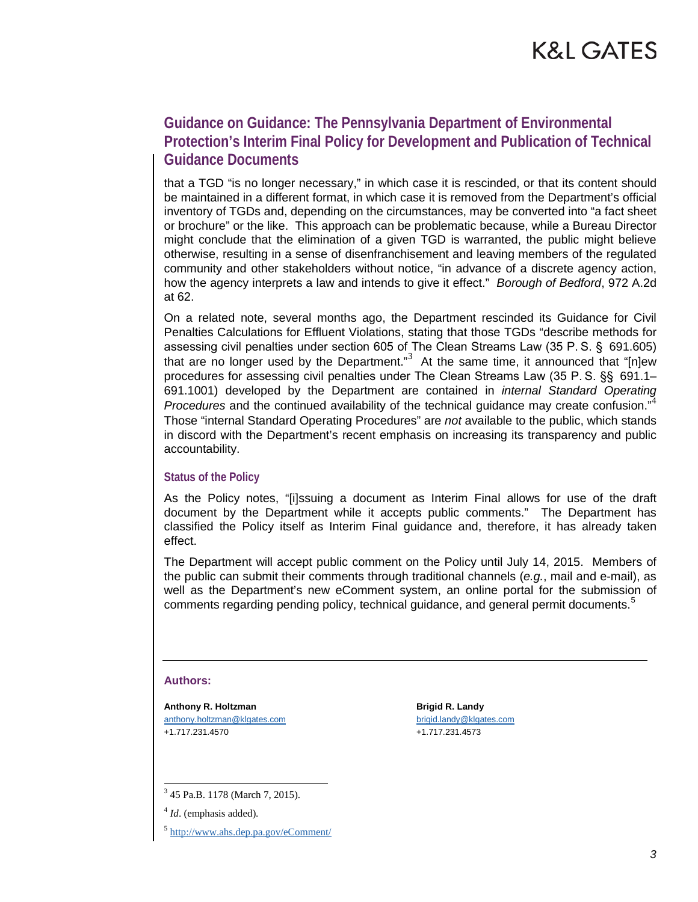### K&L GATES

### **Guidance on Guidance: The Pennsylvania Department of Environmental Protection's Interim Final Policy for Development and Publication of Technical Guidance Documents**

that a TGD "is no longer necessary," in which case it is rescinded, or that its content should be maintained in a different format, in which case it is removed from the Department's official inventory of TGDs and, depending on the circumstances, may be converted into "a fact sheet or brochure" or the like. This approach can be problematic because, while a Bureau Director might conclude that the elimination of a given TGD is warranted, the public might believe otherwise, resulting in a sense of disenfranchisement and leaving members of the regulated community and other stakeholders without notice, "in advance of a discrete agency action, how the agency interprets a law and intends to give it effect." *Borough of Bedford*, 972 A.2d at 62.

On a related note, several months ago, the Department rescinded its Guidance for Civil Penalties Calculations for Effluent Violations, stating that those TGDs "describe methods for assessing civil penalties under section 605 of The Clean Streams Law (35 P. S. § 691.605) that are no longer used by the Department."<sup>[3](#page-2-0)</sup> At the same time, it announced that "[n]ew procedures for assessing civil penalties under The Clean Streams Law (35 P. S. §§ 691.1– 691.1001) developed by the Department are contained in *internal Standard Operating Procedures* and the continued availability of the technical guidance may create confusion."[4](#page-2-1) Those "internal Standard Operating Procedures" are *not* available to the public, which stands in discord with the Department's recent emphasis on increasing its transparency and public accountability.

#### **Status of the Policy**

As the Policy notes, "[i]ssuing a document as Interim Final allows for use of the draft document by the Department while it accepts public comments." The Department has classified the Policy itself as Interim Final guidance and, therefore, it has already taken effect.

The Department will accept public comment on the Policy until July 14, 2015. Members of the public can submit their comments through traditional channels (*e.g.*, mail and e-mail), as well as the Department's new eComment system, an online portal for the submission of comments regarding pending policy, technical guidance, and general permit documents.<sup>[5](#page-2-2)</sup>

#### **Authors:**

**Anthony R. Holtzman** [anthony.holtzman@klgates.com](mailto:anthony.holtzman@klgates.com) +1.717.231.4570

**Brigid R. Landy** [brigid.landy@klgates.com](mailto:brigid.landy@klgates.com) +1.717.231.4573

<span id="page-2-1"></span><span id="page-2-0"></span><sup>3</sup> 45 Pa.B. 1178 (March 7, 2015).

<sup>4</sup> *Id*. (emphasis added).

<span id="page-2-2"></span><sup>5</sup> http://www.ahs.dep.pa.gov/eComment/